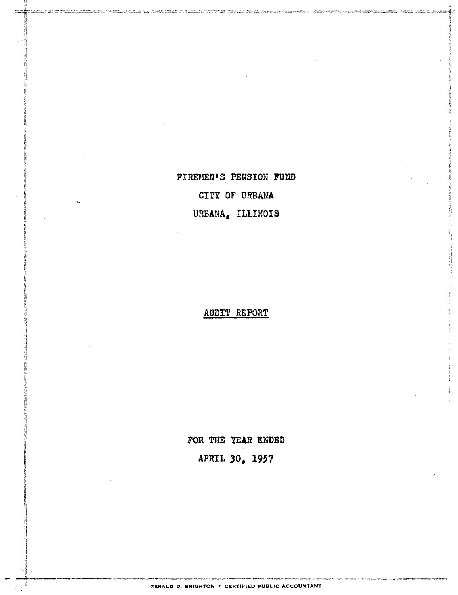FIREMEN'S PENSION FUND CITY OF URBANA URBANA, ILLINOIS

AUDIT REPORT

FOR THE YEAR ENDED APRIL 30, 1957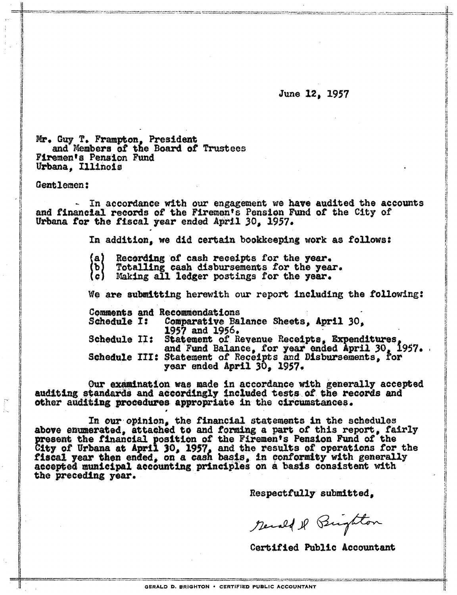June 12, 1957

Mr. Guy T. Frampton, President and Members of the Board of Trustees Firemen's Pension Fund Urbana, Illinois

Gentlemen:

- In accordance with our engagement we have audited the accounts and financial records of the Firemen's Pension Fund of the City of Urbana for the fiscal year ended April 30, 1957.

In addition, we did certain bookkeeping work as follows:

- Recording of cash receipts for the year. {a}
- Totalling cash disbursements for the year. (b)
- (c). Making all ledger postings for the year.

We are submitting herewith our report including the following:

Comments and Recommendations Schedule I: Comparative Balance Sheets, April 30,  $1957$  and  $1956.$ Schedule II: Statement of Revenue Receipts, Expenditures,<br>and Fund Balance, for year ended April 30, 1957.<br>Schedule III: Statement of Receipts and Disbursements, for year ended April 30, 1957.

Our examination was made in accordance with generally accepted auditing standards and accordingly included tests of the records and other auditing procedures appropriate in the circumstances.

In our opinion, the financial statements in the schedules above enumerated, attached to and forming a part of this report. fairly present the financial position of the Firemen's Pension Fund of the City of Urbana at April 30, 1957, and the results of operations for the fiscal year then ended, on a cash basis, in conformity with generally accepted municipal accounting principles on a basis consistent with the preceding year.

Respectfully submitted.

Recall & Brighton

Certified Public Accountant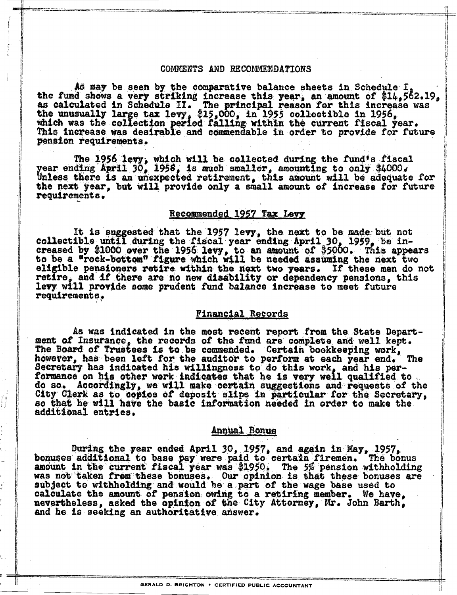### COMMENTS AND RECOMMENDATIONS

As may be seen by the comparative balance sheets in Schedule I the fund shows a very striking increase this year, an amount of \$14,562.19, as calculated in Schedule II. The principal reason for this increase was<br>the unusually large tax levy, \$15,000, in 1955 collectible in 1956,<br>which was the collection period falling within the current fiscal year. This increase was desirable and commendable in order to provide for future pension requirements.

The 1956 levy, which will be collected during the fund's fiscal year ending April 30, 1958, is much smaller, amounting to only \$4000. Unless there is an unexpected retirement, this amount will be adequate for the next year, but will provide only a small amount of increase for future requirements.

## Recommended 1957 Tax Levy

It is suggested that the 1957 levy, the next to be made but not collectible until during the fiscal year ending April 30, 1959, be increased by \$1000 over the 1956 levy, to an amount of \$5000. This appears<br>to be a "rock-bottom" figure which will be needed assuming the next two eligible pensioners retire within the next two years. If these men do not retire, and if there are no new disability or dependency pensions, this levy will provide some prudent fund balance increase to meet future requirements.

#### **Financial Records**

As was indicated in the most recent report from the State Department of Insurance, the records of the fund are complete and well kept. The Board of Trustees is to be commended. Certain bookkeeping work, however, has been left for the auditor to perform at each year end. **The** Secretary has indicated his willingness to do this work, and his performance on his other work indicates that he is very well qualified to. do so. Accordingly, we will make certain suggestions and requests of the City Clerk as to copies of deposit slips in particular for the Secretary, so that he will have the basic information needed in order to make the additional entries.

### Annual Bonus

During the year ended April 30, 1957, and again in May, 1957, bonuses additional to base pay were paid to certain firemen. The bonus amount in the current fiscal year was \$1950. The 5% pension withholding was not taken from these bonuses. Our opinion is that these bonuses are subject to withholding and would be a part of the wage base used to calculate the amount of pension owing to a retiring member. We have, nevertheless, asked the opinion of the City Attorney, Mr. John Barth, and he is seeking an authoritative answer.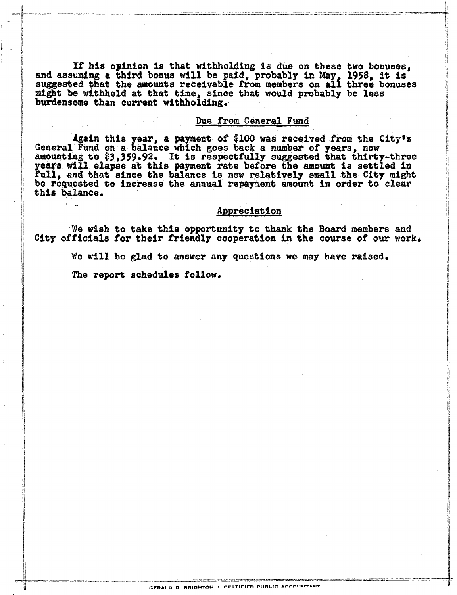If his opinion is that withholding is due on these two bonuses, and assuming a third bonus will be paid, probably in May, 1958, it is suggested that the amounts receivable from members on all three bonuses might be withheld at that time, since that would probably be less burdensome than current withholding.

### Due from General Fund

Again this year, a payment of \$100 was received from the City's<br>General Fund on a balance which goes back a number of years, now<br>amounting to \$3,359.92. It is respectfully suggested that thirty-three years will elapse at this payment rate before the amount is settled in full, and that since the balance is now relatively small the City might be requested to increase the annual repayment amount in order to clear this balance.

### Appreciation

We wish to take this opportunity to thank the Board members and City officials for their friendly cooperation in the course of our work.

We will be glad to answer any questions we may have raised.

The report schedules follow.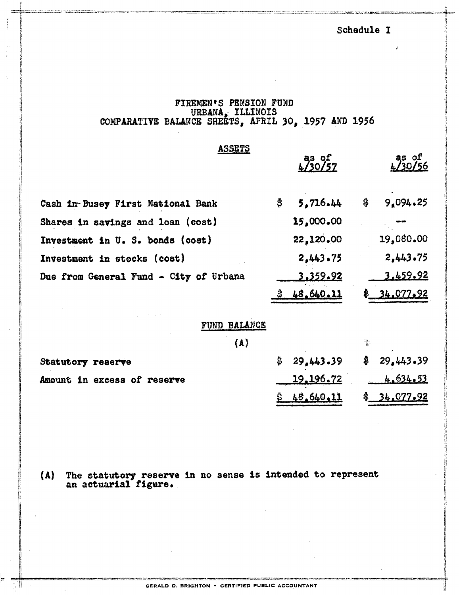## Schedule I

# FIREMEN'S PENSION FUND<br>URBANA, ILLINOIS<br>COMPARATIVE BALANCE SHEETS, APRIL 30, 1957 AND 1956

| <b>ASSETS</b>                          | as of<br>$\frac{4}{20/57}$ |                  |    | as of<br>4/30/56 |  |
|----------------------------------------|----------------------------|------------------|----|------------------|--|
|                                        |                            |                  |    |                  |  |
| Cash in Busey First National Bank      | \$                         | 5.716.44         | \$ | 9.094.25         |  |
| Shares in savings and loan (cost)      |                            | 15,000.00        |    |                  |  |
| Investment in U.S. bonds (cost)        |                            | 22,120.00        |    | 19,080.00        |  |
| <b>Investment in stocks (cost)</b>     |                            | 2,443.75         |    | 2,443.75         |  |
| Due from General Fund - City of Urbana |                            | 3.359.92         |    | 3.459.92         |  |
|                                        |                            | 48.640.11        |    | 34.077.92        |  |
|                                        |                            |                  |    |                  |  |
| FUND BALANCE                           |                            |                  |    |                  |  |
| (A)                                    |                            |                  | 龝  |                  |  |
| <b>Statutory reserve</b>               | \$                         | 29,443.39        | \$ | 29.443.39        |  |
| Amount in excess of reserve            |                            | <u>19.196.72</u> |    | 4.634.53         |  |
|                                        | \$                         | 48.640.11        | \$ | 34.077.92        |  |

(A) The statutory reserve in no sense is intended to represent an actuarial figure.

GERALD D. BRIGHTON . CERTIFIED PUBLIC ACCOUNTANT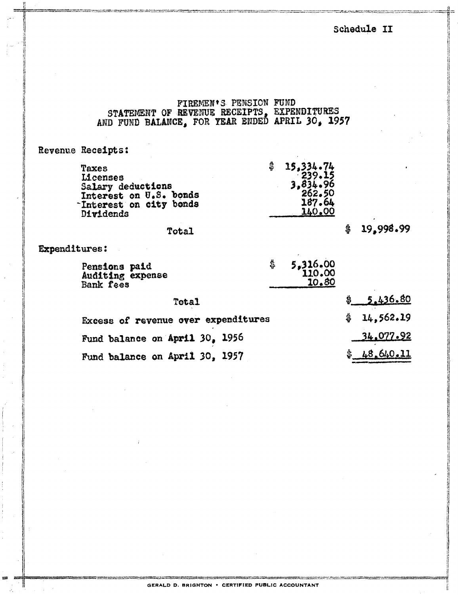Schedule II

FIREMEN'S PENSION FUND<br>STATEMENT OF REVENUE RECEIPTS, EXPENDITURES<br>AND FUND BALANCE, FOR YEAR ENDED APRIL 30, 1957

## Revenue Receipts:

| Taxes                  | 15,334.74 |
|------------------------|-----------|
| Licenses               | 239.15    |
| Salary deductions      | 3,834.96  |
| Interest on U.S. bonds | 262.50    |
| Interest on city bonds | 187.64    |
| <b>Dividends</b>       | 140.00    |
|                        |           |

### Total

# $$19,998.99$

## Expenditures:

| Pensions paid    | 5,316.00 |
|------------------|----------|
| Auditing expense | 110.00   |
| <b>Bank fees</b> | 10.80    |
|                  |          |

| Total                               | \$ 5.436.80    |
|-------------------------------------|----------------|
| Excess of revenue over expenditures | \$14,562.19    |
| Fund balance on April 30, 1956      | 34.077.92      |
| Fund balance on April 30, 1957      | 48,640.11<br>采 |

GERALD D. BRIGHTON . CERTIFIED PUBLIC ACCOUNTANT